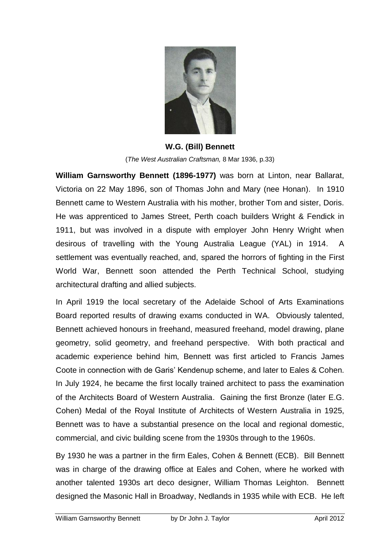

**W.G. (Bill) Bennett** (*The West Australian Craftsman,* 8 Mar 1936, p.33)

**William Garnsworthy Bennett (1896-1977)** was born at Linton, near Ballarat, Victoria on 22 May 1896, son of Thomas John and Mary (nee Honan). In 1910 Bennett came to Western Australia with his mother, brother Tom and sister, Doris. He was apprenticed to James Street, Perth coach builders Wright & Fendick in 1911, but was involved in a dispute with employer John Henry Wright when desirous of travelling with the Young Australia League (YAL) in 1914. A settlement was eventually reached, and, spared the horrors of fighting in the First World War, Bennett soon attended the Perth Technical School, studying architectural drafting and allied subjects.

In April 1919 the local secretary of the Adelaide School of Arts Examinations Board reported results of drawing exams conducted in WA. Obviously talented, Bennett achieved honours in freehand, measured freehand, model drawing, plane geometry, solid geometry, and freehand perspective. With both practical and academic experience behind him, Bennett was first articled to Francis James Coote in connection with de Garis" Kendenup scheme, and later to Eales & Cohen. In July 1924, he became the first locally trained architect to pass the examination of the Architects Board of Western Australia. Gaining the first Bronze (later E.G. Cohen) Medal of the Royal Institute of Architects of Western Australia in 1925, Bennett was to have a substantial presence on the local and regional domestic, commercial, and civic building scene from the 1930s through to the 1960s.

By 1930 he was a partner in the firm Eales, Cohen & Bennett (ECB). Bill Bennett was in charge of the drawing office at Eales and Cohen, where he worked with another talented 1930s art deco designer, William Thomas Leighton. Bennett designed the Masonic Hall in Broadway, Nedlands in 1935 while with ECB. He left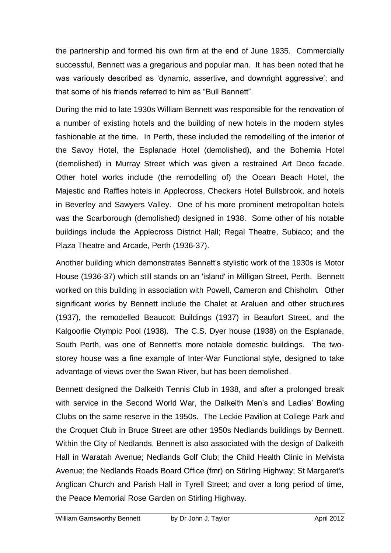the partnership and formed his own firm at the end of June 1935. Commercially successful, Bennett was a gregarious and popular man. It has been noted that he was variously described as "dynamic, assertive, and downright aggressive"; and that some of his friends referred to him as "Bull Bennett".

During the mid to late 1930s William Bennett was responsible for the renovation of a number of existing hotels and the building of new hotels in the modern styles fashionable at the time. In Perth, these included the remodelling of the interior of the Savoy Hotel, the Esplanade Hotel (demolished), and the Bohemia Hotel (demolished) in Murray Street which was given a restrained Art Deco facade. Other hotel works include (the remodelling of) the Ocean Beach Hotel, the Majestic and Raffles hotels in Applecross, Checkers Hotel Bullsbrook, and hotels in Beverley and Sawyers Valley. One of his more prominent metropolitan hotels was the Scarborough (demolished) designed in 1938. Some other of his notable buildings include the [Applecross District Hall;](http://en.wikipedia.org/w/index.php?title=Applecross_District_Hall&action=edit&redlink=1) [Regal Theatre,](http://en.wikipedia.org/wiki/Regal_Theatre) Subiaco; and the [Plaza Theatre](http://en.wikipedia.org/wiki/Plaza_Theatre_(Perth)) and Arcade, Perth (1936-37).

Another building which demonstrates Bennett"s stylistic work of the 1930s is Motor House (1936-37) which still stands on an 'island' in Milligan Street, Perth. Bennett worked on this building in association with Powell, Cameron and Chisholm. Other significant works by Bennett include the Chalet at Araluen and other structures (1937), the remodelled Beaucott Buildings (1937) in Beaufort Street, and the Kalgoorlie Olympic Pool (1938). The C.S. Dyer house (1938) on the Esplanade, South Perth, was one of Bennett's more notable domestic buildings. The twostorey house was a fine example of Inter-War Functional style, designed to take advantage of views over the Swan River, but has been demolished.

Bennett designed the Dalkeith Tennis Club in 1938, and after a prolonged break with service in the Second World War, the Dalkeith Men's and Ladies' Bowling Clubs on the same reserve in the 1950s. The Leckie Pavilion at College Park and the Croquet Club in Bruce Street are other 1950s Nedlands buildings by Bennett. Within the City of Nedlands, Bennett is also associated with the design of Dalkeith Hall in Waratah Avenue; Nedlands Golf Club; the Child Health Clinic in Melvista Avenue; the Nedlands Roads Board Office (fmr) on Stirling Highway; St Margaret's Anglican Church and Parish Hall in Tyrell Street; and over a long period of time, the Peace Memorial Rose Garden on Stirling Highway.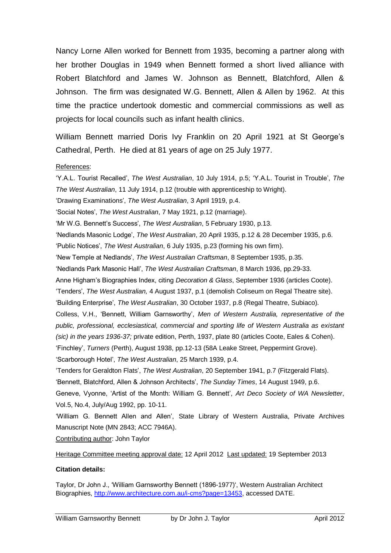Nancy Lorne Allen worked for Bennett from 1935, becoming a partner along with her brother Douglas in 1949 when Bennett formed a short lived alliance with Robert Blatchford and James W. Johnson as Bennett, Blatchford, Allen & Johnson. The firm was designated W.G. Bennett, Allen & Allen by 1962. At this time the practice undertook domestic and commercial commissions as well as projects for local councils such as infant health clinics.

William Bennett married Doris Ivy Franklin on 20 April 1921 at St George's Cathedral, Perth. He died at 81 years of age on 25 July 1977.

## References:

"Y.A.L. Tourist Recalled", *The West Australian*, 10 July 1914, p.5; "Y.A.L. Tourist in Trouble", *The The West Australian*, 11 July 1914, p.12 (trouble with apprenticeship to Wright). "Drawing Examinations", *The West Australian*, 3 April 1919, p.4. "Social Notes", *The West Australian*, 7 May 1921, p.12 (marriage). "Mr W.G. Bennett"s Success", *The West Australian*, 5 February 1930, p.13. "Nedlands Masonic Lodge", *The West Australian*, 20 April 1935, p.12 & 28 December 1935, p.6. "Public Notices", *The West Australian*, 6 July 1935, p.23 (forming his own firm). "New Temple at Nedlands", *The West Australian Craftsman*, 8 September 1935, p.35. "Nedlands Park Masonic Hall", *The West Australian Craftsman*, 8 March 1936, pp.29-33. Anne Higham"s Biographies Index, citing *Decoration & Glass*, September 1936 (articles Coote). "Tenders", *The West Australian,* 4 August 1937, p.1 (demolish Coliseum on Regal Theatre site). "Building Enterprise", *The West Australian*, 30 October 1937, p.8 (Regal Theatre, Subiaco). Colless, V.H., "Bennett, William Garnsworthy", *Men of Western Australia, representative of the public, professional, ecclesiastical, commercial and sporting life of Western Australia as existant (sic) in the years 1936-37;* private edition, Perth, 1937, plate 80 (articles Coote, Eales & Cohen). "Finchley", *Turners* (Perth), August 1938, pp.12-13 (58A Leake Street, Peppermint Grove). "Scarborough Hotel", *The West Australian*, 25 March 1939, p.4. "Tenders for Geraldton Flats", *The West Australian*, 20 September 1941, p.7 (Fitzgerald Flats). "Bennett, Blatchford, Allen & Johnson Architects", *The Sunday Times*, 14 August 1949, p.6. Geneve, Vyonne, "Artist of the Month: William G. Bennett", *Art Deco Society of WA Newsletter*, Vol.5, No.4, July/Aug 1992, pp. 10-11. "William G. Bennett Allen and Allen", State Library of Western Australia, Private Archives Manuscript Note (MN 2843; ACC 7946A). Contributing author: John Taylor

Heritage Committee meeting approval date: 12 April 2012 Last updated: 19 September 2013

## **Citation details:**

Taylor, Dr John J., "William Garnsworthy Bennett (1896-1977)', Western Australian Architect Biographies, [http://www.architecture.com.au/i-cms?page=13453,](http://www.architecture.com.au/i-cms?page=13453) accessed DATE.

William Garnsworthy Bennett by Dr John J. Taylor April 2012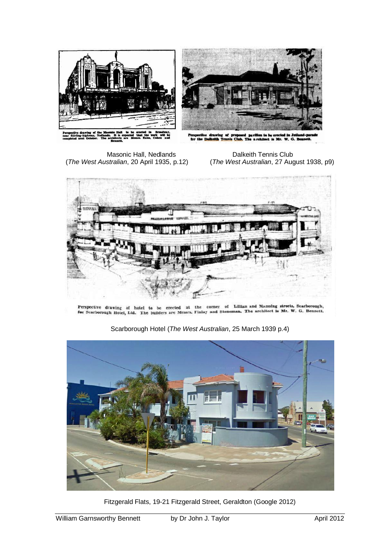

Masonic Hall, Nedlands Dalkeith Tennis Club<br>The West Australian, 20 April 1935, p.12) (The West Australian, 27 Aug

(*The West Australian*, 27 August 1938, p9)



Perspective drawing of hotel to be erected at the corner of Lillian and Manning streets, Searborough, for Scarborough Hotel, Ltd. The builders are Messrs, Finlay and Stoneman. The architect is Mr. W. G. Bennett.



Scarborough Hotel (*The West Australian*, 25 March 1939 p.4)

Fitzgerald Flats, 19-21 Fitzgerald Street, Geraldton (Google 2012)